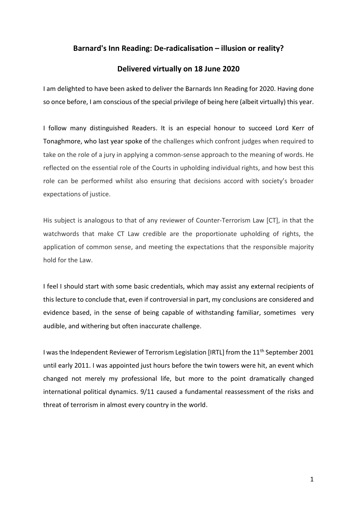# **Barnard's Inn Reading: De-radicalisation – illusion or reality?**

# **Delivered virtually on 18 June 2020**

I am delighted to have been asked to deliver the Barnards Inn Reading for 2020. Having done so once before, I am conscious of the special privilege of being here (albeit virtually) this year.

I follow many distinguished Readers. It is an especial honour to succeed Lord Kerr of Tonaghmore, who last year spoke of the challenges which confront judges when required to take on the role of a jury in applying a common-sense approach to the meaning of words. He reflected on the essential role of the Courts in upholding individual rights, and how best this role can be performed whilst also ensuring that decisions accord with society's broader expectations of justice.

His subject is analogous to that of any reviewer of Counter-Terrorism Law [CT], in that the watchwords that make CT Law credible are the proportionate upholding of rights, the application of common sense, and meeting the expectations that the responsible majority hold for the Law.

I feel I should start with some basic credentials, which may assist any external recipients of this lecture to conclude that, even if controversial in part, my conclusions are considered and evidence based, in the sense of being capable of withstanding familiar, sometimes very audible, and withering but often inaccurate challenge.

I was the Independent Reviewer of Terrorism Legislation [IRTL] from the 11<sup>th</sup> September 2001 until early 2011. I was appointed just hours before the twin towers were hit, an event which changed not merely my professional life, but more to the point dramatically changed international political dynamics. 9/11 caused a fundamental reassessment of the risks and threat of terrorism in almost every country in the world.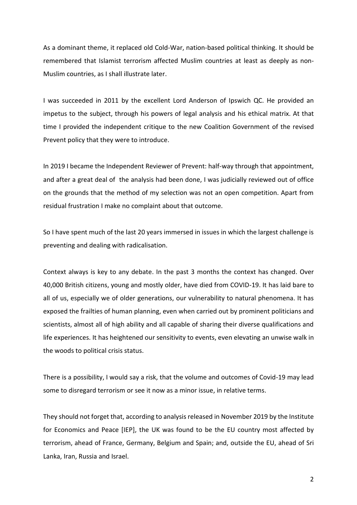As a dominant theme, it replaced old Cold-War, nation-based political thinking. It should be remembered that Islamist terrorism affected Muslim countries at least as deeply as non-Muslim countries, as I shall illustrate later.

I was succeeded in 2011 by the excellent Lord Anderson of Ipswich QC. He provided an impetus to the subject, through his powers of legal analysis and his ethical matrix. At that time I provided the independent critique to the new Coalition Government of the revised Prevent policy that they were to introduce.

In 2019 I became the Independent Reviewer of Prevent: half-way through that appointment, and after a great deal of the analysis had been done, I was judicially reviewed out of office on the grounds that the method of my selection was not an open competition. Apart from residual frustration I make no complaint about that outcome.

So I have spent much of the last 20 years immersed in issues in which the largest challenge is preventing and dealing with radicalisation.

Context always is key to any debate. In the past 3 months the context has changed. Over 40,000 British citizens, young and mostly older, have died from COVID-19. It has laid bare to all of us, especially we of older generations, our vulnerability to natural phenomena. It has exposed the frailties of human planning, even when carried out by prominent politicians and scientists, almost all of high ability and all capable of sharing their diverse qualifications and life experiences. It has heightened our sensitivity to events, even elevating an unwise walk in the woods to political crisis status.

There is a possibility, I would say a risk, that the volume and outcomes of Covid-19 may lead some to disregard terrorism or see it now as a minor issue, in relative terms.

They should not forget that, according to analysis released in November 2019 by the Institute for Economics and Peace [IEP], the UK was found to be the EU country most affected by terrorism, ahead of France, Germany, Belgium and Spain; and, outside the EU, ahead of Sri Lanka, Iran, Russia and Israel.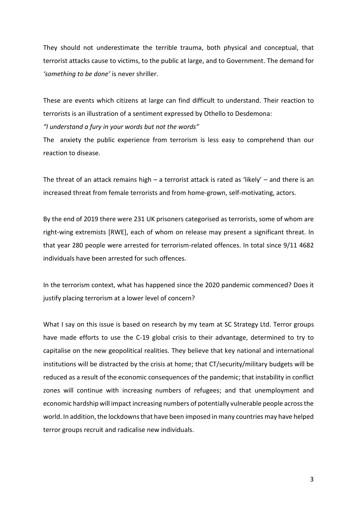They should not underestimate the terrible trauma, both physical and conceptual, that terrorist attacks cause to victims, to the public at large, and to Government. The demand for *'something to be done'* is never shriller.

These are events which citizens at large can find difficult to understand. Their reaction to terrorists is an illustration of a sentiment expressed by Othello to Desdemona:

## *"I understand a fury in your words but not the words"*

The anxiety the public experience from terrorism is less easy to comprehend than our reaction to disease.

The threat of an attack remains high  $-$  a terrorist attack is rated as 'likely'  $-$  and there is an increased threat from female terrorists and from home-grown, self-motivating, actors.

By the end of 2019 there were 231 UK prisoners categorised as terrorists, some of whom are right-wing extremists [RWE], each of whom on release may present a significant threat. In that year 280 people were arrested for terrorism-related offences. In total since 9/11 4682 individuals have been arrested for such offences.

In the terrorism context, what has happened since the 2020 pandemic commenced? Does it justify placing terrorism at a lower level of concern?

What I say on this issue is based on research by my team at SC Strategy Ltd. Terror groups have made efforts to use the C-19 global crisis to their advantage, determined to try to capitalise on the new geopolitical realities. They believe that key national and international institutions will be distracted by the crisis at home; that CT/security/military budgets will be reduced as a result of the economic consequences of the pandemic; that instability in conflict zones will continue with increasing numbers of refugees; and that unemployment and economic hardship will impact increasing numbers of potentially vulnerable people across the world. In addition, the lockdowns that have been imposed in many countries may have helped terror groups recruit and radicalise new individuals.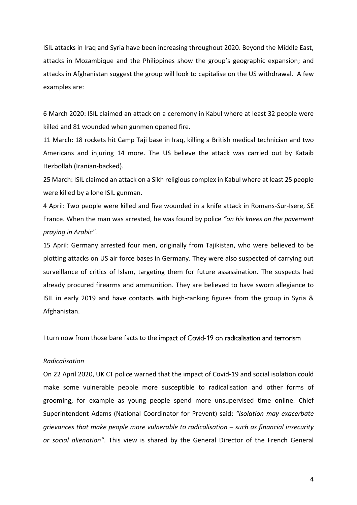ISIL attacks in Iraq and Syria have been increasing throughout 2020. Beyond the Middle East, attacks in Mozambique and the Philippines show the group's geographic expansion; and attacks in Afghanistan suggest the group will look to capitalise on the US withdrawal. A few examples are:

6 March 2020: ISIL claimed an attack on a ceremony in Kabul where at least 32 people were killed and 81 wounded when gunmen opened fire.

11 March: 18 rockets hit Camp Taji base in Iraq, killing a British medical technician and two Americans and injuring 14 more. The US believe the attack was carried out by Kataib Hezbollah (Iranian-backed).

25 March: ISIL claimed an attack on a Sikh religious complex in Kabul where at least 25 people were killed by a lone ISIL gunman.

4 April: Two people were killed and five wounded in a knife attack in Romans-Sur-Isere, SE France. When the man was arrested, he was found by police *"on his knees on the pavement praying in Arabic".*

15 April: Germany arrested four men, originally from Tajikistan, who were believed to be plotting attacks on US air force bases in Germany. They were also suspected of carrying out surveillance of critics of Islam, targeting them for future assassination. The suspects had already procured firearms and ammunition. They are believed to have sworn allegiance to ISIL in early 2019 and have contacts with high-ranking figures from the group in Syria & Afghanistan.

I turn now from those bare facts to the impact of Covid-19 on radicalisation and terrorism

# *Radicalisation*

On 22 April 2020, UK CT police warned that the impact of Covid-19 and social isolation could make some vulnerable people more susceptible to radicalisation and other forms of grooming, for example as young people spend more unsupervised time online. Chief Superintendent Adams (National Coordinator for Prevent) said: *"isolation may exacerbate grievances that make people more vulnerable to radicalisation – such as financial insecurity or social alienation"*. This view is shared by the General Director of the French General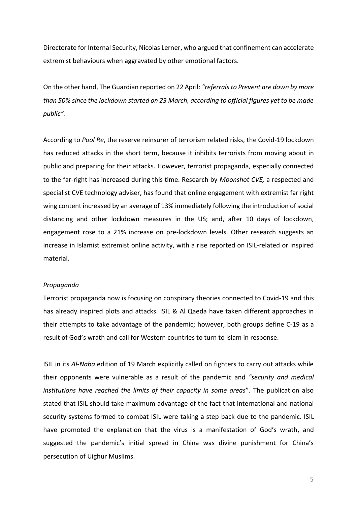Directorate for Internal Security, Nicolas Lerner, who argued that confinement can accelerate extremist behaviours when aggravated by other emotional factors.

On the other hand, The Guardian reported on 22 April: *"referrals to Prevent are down by more than 50% since the lockdown started on 23 March, according to official figures yet to be made public".*

According to *Pool Re*, the reserve reinsurer of terrorism related risks, the Covid-19 lockdown has reduced attacks in the short term, because it inhibits terrorists from moving about in public and preparing for their attacks. However, terrorist propaganda, especially connected to the far-right has increased during this time. Research by *Moonshot CVE,* a respected and specialist CVE technology adviser, has found that online engagement with extremist far right wing content increased by an average of 13% immediately following the introduction of social distancing and other lockdown measures in the US; and, after 10 days of lockdown, engagement rose to a 21% increase on pre-lockdown levels. Other research suggests an increase in Islamist extremist online activity, with a rise reported on ISIL-related or inspired material.

# *Propaganda*

Terrorist propaganda now is focusing on conspiracy theories connected to Covid-19 and this has already inspired plots and attacks. ISIL & Al Qaeda have taken different approaches in their attempts to take advantage of the pandemic; however, both groups define C-19 as a result of God's wrath and call for Western countries to turn to Islam in response.

ISIL in its *Al-Naba* edition of 19 March explicitly called on fighters to carry out attacks while their opponents were vulnerable as a result of the pandemic and *"security and medical institutions have reached the limits of their capacity in some areas*". The publication also stated that ISIL should take maximum advantage of the fact that international and national security systems formed to combat ISIL were taking a step back due to the pandemic. ISIL have promoted the explanation that the virus is a manifestation of God's wrath, and suggested the pandemic's initial spread in China was divine punishment for China's persecution of Uighur Muslims.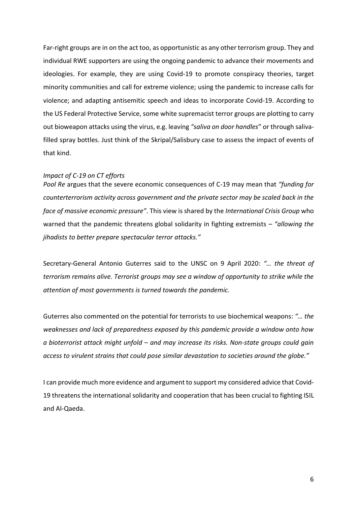Far-right groups are in on the act too, as opportunistic as any other terrorism group. They and individual RWE supporters are using the ongoing pandemic to advance their movements and ideologies. For example, they are using Covid-19 to promote conspiracy theories, target minority communities and call for extreme violence; using the pandemic to increase calls for violence; and adapting antisemitic speech and ideas to incorporate Covid-19. According to the US Federal Protective Service, some white supremacist terror groups are plotting to carry out bioweapon attacks using the virus, e.g. leaving *"saliva on door handles*" or through salivafilled spray bottles. Just think of the Skripal/Salisbury case to assess the impact of events of that kind.

# *Impact of C-19 on CT efforts*

*Pool Re* argues that the severe economic consequences of C-19 may mean that *"funding for counterterrorism activity across government and the private sector may be scaled back in the face of massive economic pressure"*. This view is shared by the *International Crisis Group* who warned that the pandemic threatens global solidarity in fighting extremists – *"allowing the jihadists to better prepare spectacular terror attacks."*

Secretary-General Antonio Guterres said to the UNSC on 9 April 2020: *"… the threat of terrorism remains alive. Terrorist groups may see a window of opportunity to strike while the attention of most governments is turned towards the pandemic.*

Guterres also commented on the potential for terrorists to use biochemical weapons: *"… the weaknesses and lack of preparedness exposed by this pandemic provide a window onto how a bioterrorist attack might unfold – and may increase its risks. Non-state groups could gain access to virulent strains that could pose similar devastation to societies around the globe."*

I can provide much more evidence and argument to support my considered advice that Covid-19 threatens the international solidarity and cooperation that has been crucial to fighting ISIL and Al-Qaeda.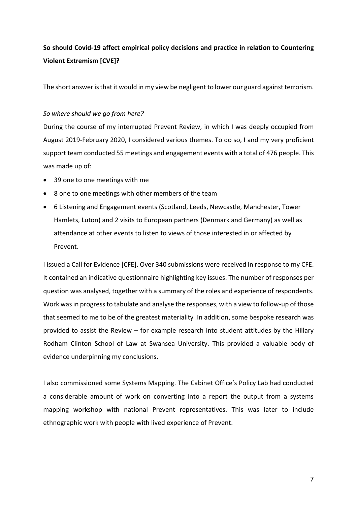# **So should Covid-19 affect empirical policy decisions and practice in relation to Countering Violent Extremism [CVE]?**

The short answer is that it would in my view be negligent to lower our guard against terrorism.

# *So where should we go from here?*

During the course of my interrupted Prevent Review, in which I was deeply occupied from August 2019-February 2020, I considered various themes. To do so, I and my very proficient support team conducted 55 meetings and engagement events with a total of 476 people. This was made up of:

- 39 one to one meetings with me
- 8 one to one meetings with other members of the team
- 6 Listening and Engagement events (Scotland, Leeds, Newcastle, Manchester, Tower Hamlets, Luton) and 2 visits to European partners (Denmark and Germany) as well as attendance at other events to listen to views of those interested in or affected by Prevent.

I issued a Call for Evidence [CFE]. Over 340 submissions were received in response to my CFE. It contained an indicative questionnaire highlighting key issues. The number of responses per question was analysed, together with a summary of the roles and experience of respondents. Work was in progress to tabulate and analyse the responses, with a view to follow-up of those that seemed to me to be of the greatest materiality .In addition, some bespoke research was provided to assist the Review – for example research into student attitudes by the Hillary Rodham Clinton School of Law at Swansea University. This provided a valuable body of evidence underpinning my conclusions.

I also commissioned some Systems Mapping. The Cabinet Office's Policy Lab had conducted a considerable amount of work on converting into a report the output from a systems mapping workshop with national Prevent representatives. This was later to include ethnographic work with people with lived experience of Prevent.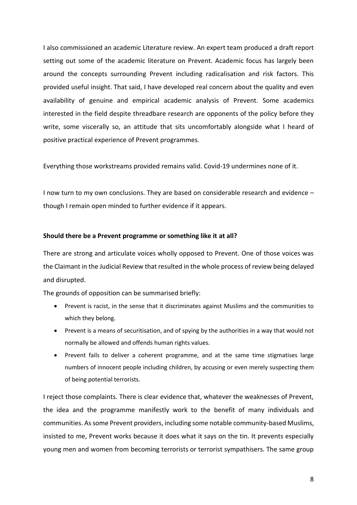I also commissioned an academic Literature review. An expert team produced a draft report setting out some of the academic literature on Prevent. Academic focus has largely been around the concepts surrounding Prevent including radicalisation and risk factors. This provided useful insight. That said, I have developed real concern about the quality and even availability of genuine and empirical academic analysis of Prevent. Some academics interested in the field despite threadbare research are opponents of the policy before they write, some viscerally so, an attitude that sits uncomfortably alongside what I heard of positive practical experience of Prevent programmes.

Everything those workstreams provided remains valid. Covid-19 undermines none of it.

I now turn to my own conclusions. They are based on considerable research and evidence – though I remain open minded to further evidence if it appears.

#### **Should there be a Prevent programme or something like it at all?**

There are strong and articulate voices wholly opposed to Prevent. One of those voices was the Claimant in the Judicial Review that resulted in the whole process of review being delayed and disrupted.

The grounds of opposition can be summarised briefly:

- Prevent is racist, in the sense that it discriminates against Muslims and the communities to which they belong.
- Prevent is a means of securitisation, and of spying by the authorities in a way that would not normally be allowed and offends human rights values.
- Prevent fails to deliver a coherent programme, and at the same time stigmatises large numbers of innocent people including children, by accusing or even merely suspecting them of being potential terrorists.

I reject those complaints. There is clear evidence that, whatever the weaknesses of Prevent, the idea and the programme manifestly work to the benefit of many individuals and communities. As some Prevent providers, including some notable community-based Muslims, insisted to me, Prevent works because it does what it says on the tin. It prevents especially young men and women from becoming terrorists or terrorist sympathisers. The same group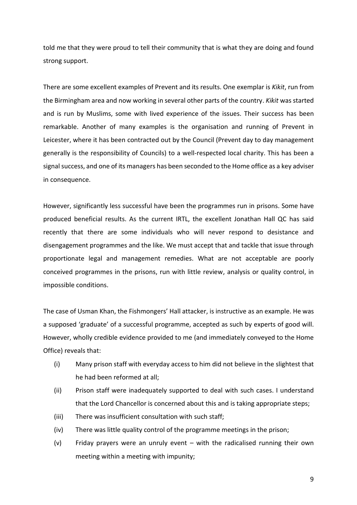told me that they were proud to tell their community that is what they are doing and found strong support.

There are some excellent examples of Prevent and its results. One exemplar is *Kikit*, run from the Birmingham area and now working in several other parts of the country. *Kikit* was started and is run by Muslims, some with lived experience of the issues. Their success has been remarkable. Another of many examples is the organisation and running of Prevent in Leicester, where it has been contracted out by the Council (Prevent day to day management generally is the responsibility of Councils) to a well-respected local charity. This has been a signal success, and one of its managers has been seconded to the Home office as a key adviser in consequence.

However, significantly less successful have been the programmes run in prisons. Some have produced beneficial results. As the current IRTL, the excellent Jonathan Hall QC has said recently that there are some individuals who will never respond to desistance and disengagement programmes and the like. We must accept that and tackle that issue through proportionate legal and management remedies. What are not acceptable are poorly conceived programmes in the prisons, run with little review, analysis or quality control, in impossible conditions.

The case of Usman Khan, the Fishmongers' Hall attacker, is instructive as an example. He was a supposed 'graduate' of a successful programme, accepted as such by experts of good will. However, wholly credible evidence provided to me (and immediately conveyed to the Home Office) reveals that:

- (i) Many prison staff with everyday access to him did not believe in the slightest that he had been reformed at all;
- (ii) Prison staff were inadequately supported to deal with such cases. I understand that the Lord Chancellor is concerned about this and is taking appropriate steps;
- (iii) There was insufficient consultation with such staff;
- (iv) There was little quality control of the programme meetings in the prison;
- (v) Friday prayers were an unruly event with the radicalised running their own meeting within a meeting with impunity;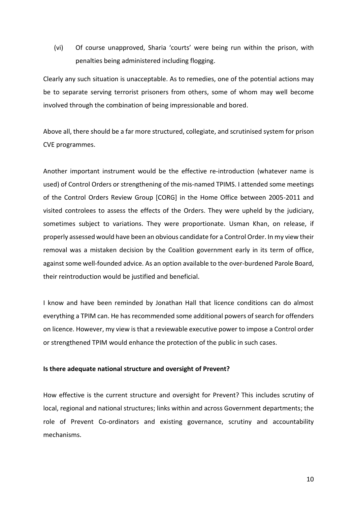(vi) Of course unapproved, Sharia 'courts' were being run within the prison, with penalties being administered including flogging.

Clearly any such situation is unacceptable. As to remedies, one of the potential actions may be to separate serving terrorist prisoners from others, some of whom may well become involved through the combination of being impressionable and bored.

Above all, there should be a far more structured, collegiate, and scrutinised system for prison CVE programmes.

Another important instrument would be the effective re-introduction (whatever name is used) of Control Orders or strengthening of the mis-named TPIMS. I attended some meetings of the Control Orders Review Group [CORG] in the Home Office between 2005-2011 and visited controlees to assess the effects of the Orders. They were upheld by the judiciary, sometimes subject to variations. They were proportionate. Usman Khan, on release, if properly assessed would have been an obvious candidate for a Control Order. In my view their removal was a mistaken decision by the Coalition government early in its term of office, against some well-founded advice. As an option available to the over-burdened Parole Board, their reintroduction would be justified and beneficial.

I know and have been reminded by Jonathan Hall that licence conditions can do almost everything a TPIM can. He has recommended some additional powers of search for offenders on licence. However, my view is that a reviewable executive power to impose a Control order or strengthened TPIM would enhance the protection of the public in such cases.

#### **Is there adequate national structure and oversight of Prevent?**

How effective is the current structure and oversight for Prevent? This includes scrutiny of local, regional and national structures; links within and across Government departments; the role of Prevent Co-ordinators and existing governance, scrutiny and accountability mechanisms.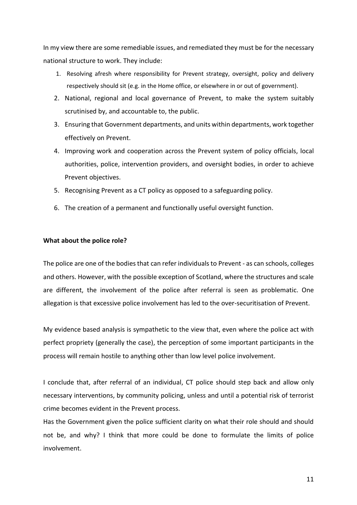In my view there are some remediable issues, and remediated they must be for the necessary national structure to work. They include:

- 1. Resolving afresh where responsibility for Prevent strategy, oversight, policy and delivery respectively should sit (e.g. in the Home office, or elsewhere in or out of government).
- 2. National, regional and local governance of Prevent, to make the system suitably scrutinised by, and accountable to, the public.
- 3. Ensuring that Government departments, and units within departments, work together effectively on Prevent.
- 4. Improving work and cooperation across the Prevent system of policy officials, local authorities, police, intervention providers, and oversight bodies, in order to achieve Prevent objectives.
- 5. Recognising Prevent as a CT policy as opposed to a safeguarding policy.
- 6. The creation of a permanent and functionally useful oversight function.

# **What about the police role?**

The police are one of the bodies that can refer individuals to Prevent - as can schools, colleges and others. However, with the possible exception of Scotland, where the structures and scale are different, the involvement of the police after referral is seen as problematic. One allegation is that excessive police involvement has led to the over-securitisation of Prevent.

My evidence based analysis is sympathetic to the view that, even where the police act with perfect propriety (generally the case), the perception of some important participants in the process will remain hostile to anything other than low level police involvement.

I conclude that, after referral of an individual, CT police should step back and allow only necessary interventions, by community policing, unless and until a potential risk of terrorist crime becomes evident in the Prevent process.

Has the Government given the police sufficient clarity on what their role should and should not be, and why? I think that more could be done to formulate the limits of police involvement.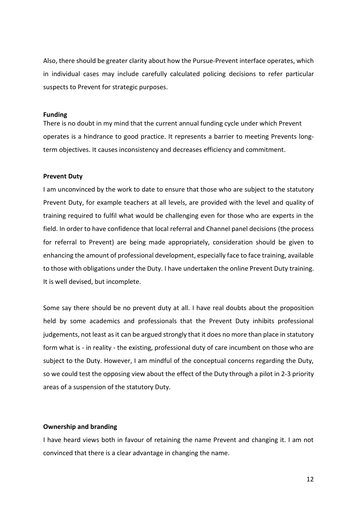Also, there should be greater clarity about how the Pursue-Prevent interface operates, which in individual cases may include carefully calculated policing decisions to refer particular suspects to Prevent for strategic purposes.

#### **Funding**

There is no doubt in my mind that the current annual funding cycle under which Prevent operates is a hindrance to good practice. It represents a barrier to meeting Prevents longterm objectives. It causes inconsistency and decreases efficiency and commitment.

#### **Prevent Duty**

I am unconvinced by the work to date to ensure that those who are subject to the statutory Prevent Duty, for example teachers at all levels, are provided with the level and quality of training required to fulfil what would be challenging even for those who are experts in the field. In order to have confidence that local referral and Channel panel decisions (the process for referral to Prevent) are being made appropriately, consideration should be given to enhancing the amount of professional development, especially face to face training, available to those with obligations under the Duty. I have undertaken the online Prevent Duty training. It is well devised, but incomplete.

Some say there should be no prevent duty at all. I have real doubts about the proposition held by some academics and professionals that the Prevent Duty inhibits professional judgements, not least as it can be argued strongly that it does no more than place in statutory form what is - in reality - the existing, professional duty of care incumbent on those who are subject to the Duty. However, I am mindful of the conceptual concerns regarding the Duty, so we could test the opposing view about the effect of the Duty through a pilot in 2-3 priority areas of a suspension of the statutory Duty.

#### **Ownership and branding**

I have heard views both in favour of retaining the name Prevent and changing it. I am not convinced that there is a clear advantage in changing the name.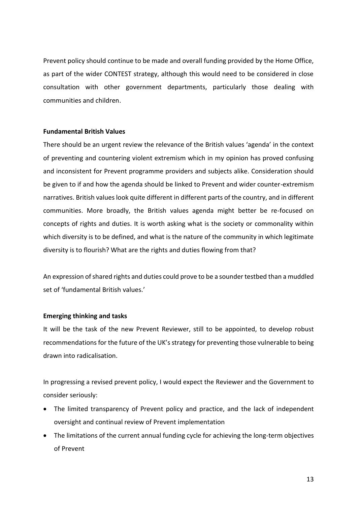Prevent policy should continue to be made and overall funding provided by the Home Office, as part of the wider CONTEST strategy, although this would need to be considered in close consultation with other government departments, particularly those dealing with communities and children.

# **Fundamental British Values**

There should be an urgent review the relevance of the British values 'agenda' in the context of preventing and countering violent extremism which in my opinion has proved confusing and inconsistent for Prevent programme providers and subjects alike. Consideration should be given to if and how the agenda should be linked to Prevent and wider counter-extremism narratives. British values look quite different in different parts of the country, and in different communities. More broadly, the British values agenda might better be re-focused on concepts of rights and duties. It is worth asking what is the society or commonality within which diversity is to be defined, and what is the nature of the community in which legitimate diversity is to flourish? What are the rights and duties flowing from that?

An expression of shared rights and duties could prove to be a sounder testbed than a muddled set of 'fundamental British values.'

#### **Emerging thinking and tasks**

It will be the task of the new Prevent Reviewer, still to be appointed, to develop robust recommendations for the future of the UK's strategy for preventing those vulnerable to being drawn into radicalisation.

In progressing a revised prevent policy, I would expect the Reviewer and the Government to consider seriously:

- The limited transparency of Prevent policy and practice, and the lack of independent oversight and continual review of Prevent implementation
- The limitations of the current annual funding cycle for achieving the long-term objectives of Prevent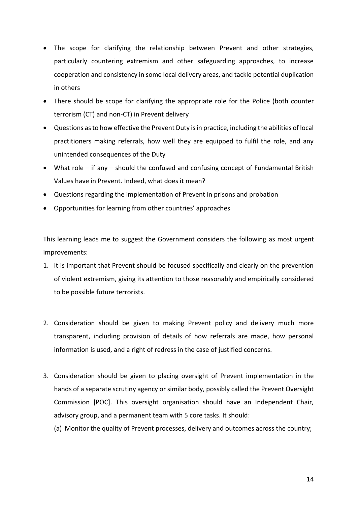- The scope for clarifying the relationship between Prevent and other strategies, particularly countering extremism and other safeguarding approaches, to increase cooperation and consistency in some local delivery areas, and tackle potential duplication in others
- There should be scope for clarifying the appropriate role for the Police (both counter terrorism (CT) and non-CT) in Prevent delivery
- Questions as to how effective the Prevent Duty is in practice, including the abilities of local practitioners making referrals, how well they are equipped to fulfil the role, and any unintended consequences of the Duty
- What role if any should the confused and confusing concept of Fundamental British Values have in Prevent. Indeed, what does it mean?
- Questions regarding the implementation of Prevent in prisons and probation
- Opportunities for learning from other countries' approaches

This learning leads me to suggest the Government considers the following as most urgent improvements:

- 1. It is important that Prevent should be focused specifically and clearly on the prevention of violent extremism, giving its attention to those reasonably and empirically considered to be possible future terrorists.
- 2. Consideration should be given to making Prevent policy and delivery much more transparent, including provision of details of how referrals are made, how personal information is used, and a right of redress in the case of justified concerns.
- 3. Consideration should be given to placing oversight of Prevent implementation in the hands of a separate scrutiny agency or similar body, possibly called the Prevent Oversight Commission [POC]. This oversight organisation should have an Independent Chair, advisory group, and a permanent team with 5 core tasks. It should:
	- (a) Monitor the quality of Prevent processes, delivery and outcomes across the country;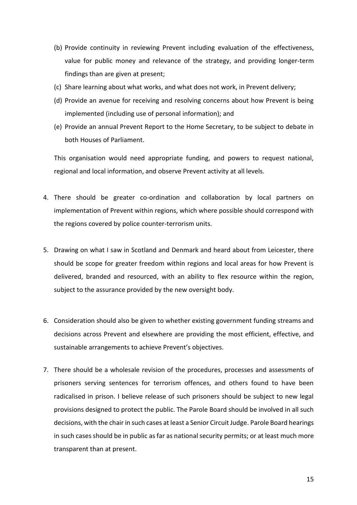- (b) Provide continuity in reviewing Prevent including evaluation of the effectiveness, value for public money and relevance of the strategy, and providing longer-term findings than are given at present;
- (c) Share learning about what works, and what does not work, in Prevent delivery;
- (d) Provide an avenue for receiving and resolving concerns about how Prevent is being implemented (including use of personal information); and
- (e) Provide an annual Prevent Report to the Home Secretary, to be subject to debate in both Houses of Parliament.

This organisation would need appropriate funding, and powers to request national, regional and local information, and observe Prevent activity at all levels.

- 4. There should be greater co-ordination and collaboration by local partners on implementation of Prevent within regions, which where possible should correspond with the regions covered by police counter-terrorism units.
- 5. Drawing on what I saw in Scotland and Denmark and heard about from Leicester, there should be scope for greater freedom within regions and local areas for how Prevent is delivered, branded and resourced, with an ability to flex resource within the region, subject to the assurance provided by the new oversight body.
- 6. Consideration should also be given to whether existing government funding streams and decisions across Prevent and elsewhere are providing the most efficient, effective, and sustainable arrangements to achieve Prevent's objectives.
- 7. There should be a wholesale revision of the procedures, processes and assessments of prisoners serving sentences for terrorism offences, and others found to have been radicalised in prison. I believe release of such prisoners should be subject to new legal provisions designed to protect the public. The Parole Board should be involved in all such decisions, with the chair in such cases at least a Senior Circuit Judge. Parole Board hearings in such cases should be in public as far as national security permits; or at least much more transparent than at present.